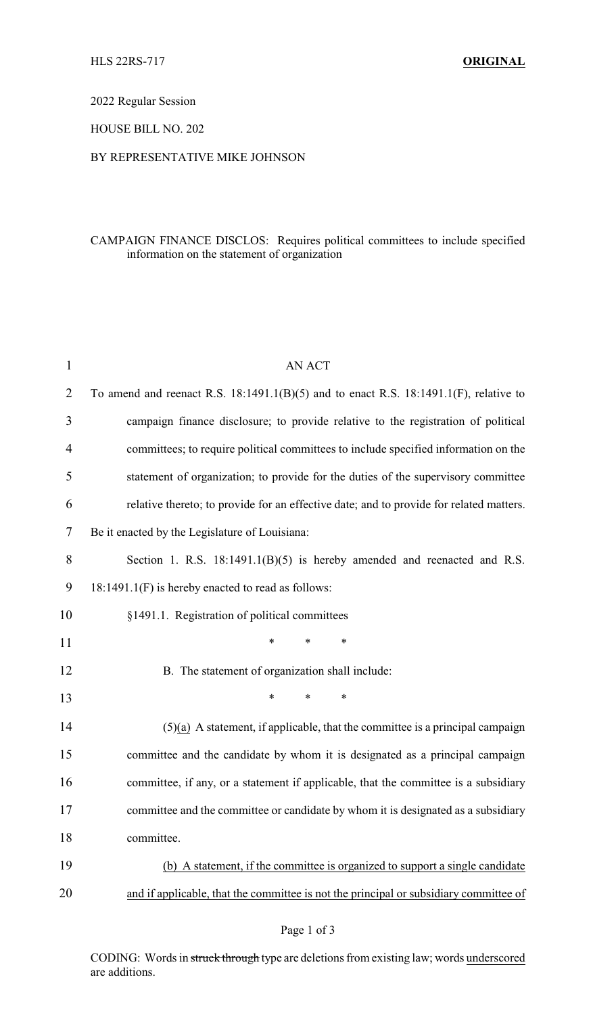2022 Regular Session

HOUSE BILL NO. 202

## BY REPRESENTATIVE MIKE JOHNSON

## CAMPAIGN FINANCE DISCLOS: Requires political committees to include specified information on the statement of organization

| $\mathbf{1}$ | <b>AN ACT</b>                                                                              |  |  |
|--------------|--------------------------------------------------------------------------------------------|--|--|
| 2            | To amend and reenact R.S. $18:1491.1(B)(5)$ and to enact R.S. $18:1491.1(F)$ , relative to |  |  |
| 3            | campaign finance disclosure; to provide relative to the registration of political          |  |  |
| 4            | committees; to require political committees to include specified information on the        |  |  |
| 5            | statement of organization; to provide for the duties of the supervisory committee          |  |  |
| 6            | relative thereto; to provide for an effective date; and to provide for related matters.    |  |  |
| 7            | Be it enacted by the Legislature of Louisiana:                                             |  |  |
| 8            | Section 1. R.S. $18:1491.1(B)(5)$ is hereby amended and reenacted and R.S.                 |  |  |
| 9            | 18:1491.1(F) is hereby enacted to read as follows:                                         |  |  |
| 10           | §1491.1. Registration of political committees                                              |  |  |
| 11           | $\ast$<br>*<br>$\ast$                                                                      |  |  |
| 12           | B. The statement of organization shall include:                                            |  |  |
| 13           | $\ast$<br>*<br>$\ast$                                                                      |  |  |
| 14           | $(5)(a)$ A statement, if applicable, that the committee is a principal campaign            |  |  |
| 15           | committee and the candidate by whom it is designated as a principal campaign               |  |  |
| 16           | committee, if any, or a statement if applicable, that the committee is a subsidiary        |  |  |
| 17           | committee and the committee or candidate by whom it is designated as a subsidiary          |  |  |
| 18           | committee.                                                                                 |  |  |
| 19           | (b) A statement, if the committee is organized to support a single candidate               |  |  |
| 20           | and if applicable, that the committee is not the principal or subsidiary committee of      |  |  |
|              |                                                                                            |  |  |

CODING: Words in struck through type are deletions from existing law; words underscored are additions.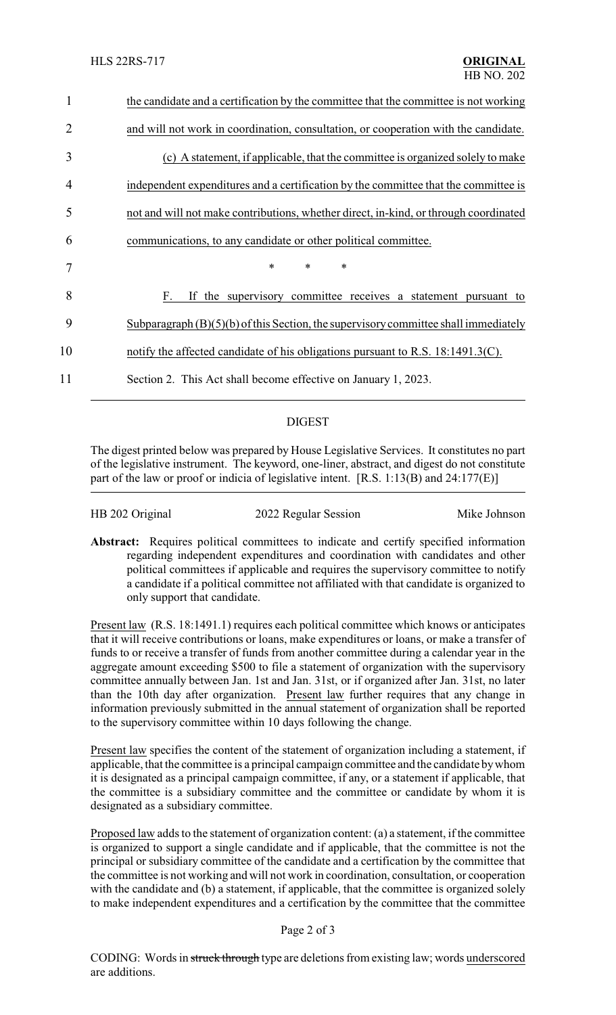| 1  | the candidate and a certification by the committee that the committee is not working  |  |
|----|---------------------------------------------------------------------------------------|--|
| 2  | and will not work in coordination, consultation, or cooperation with the candidate.   |  |
| 3  | (c) A statement, if applicable, that the committee is organized solely to make        |  |
| 4  | independent expenditures and a certification by the committee that the committee is   |  |
| 5  | not and will not make contributions, whether direct, in-kind, or through coordinated  |  |
| 6  | communications, to any candidate or other political committee.                        |  |
| 7  | $\ast$<br>∗<br>$\ast$                                                                 |  |
| 8  | If the supervisory committee receives a statement pursuant to<br>F.                   |  |
| 9  | Subparagraph $(B)(5)(b)$ of this Section, the supervisory committee shall immediately |  |
| 10 | notify the affected candidate of his obligations pursuant to R.S. $18:1491.3(C)$ .    |  |
| 11 | Section 2. This Act shall become effective on January 1, 2023.                        |  |
|    |                                                                                       |  |

## DIGEST

The digest printed below was prepared by House Legislative Services. It constitutes no part of the legislative instrument. The keyword, one-liner, abstract, and digest do not constitute part of the law or proof or indicia of legislative intent. [R.S. 1:13(B) and 24:177(E)]

| HB 202 Original | 2022 Regular Session | Mike Johnson |
|-----------------|----------------------|--------------|
|                 |                      |              |

Abstract: Requires political committees to indicate and certify specified information regarding independent expenditures and coordination with candidates and other political committees if applicable and requires the supervisory committee to notify a candidate if a political committee not affiliated with that candidate is organized to only support that candidate.

Present law (R.S. 18:1491.1) requires each political committee which knows or anticipates that it will receive contributions or loans, make expenditures or loans, or make a transfer of funds to or receive a transfer of funds from another committee during a calendar year in the aggregate amount exceeding \$500 to file a statement of organization with the supervisory committee annually between Jan. 1st and Jan. 31st, or if organized after Jan. 31st, no later than the 10th day after organization. Present law further requires that any change in information previously submitted in the annual statement of organization shall be reported to the supervisory committee within 10 days following the change.

Present law specifies the content of the statement of organization including a statement, if applicable, that the committee is a principal campaign committee and the candidate bywhom it is designated as a principal campaign committee, if any, or a statement if applicable, that the committee is a subsidiary committee and the committee or candidate by whom it is designated as a subsidiary committee.

Proposed law adds to the statement of organization content: (a) a statement, if the committee is organized to support a single candidate and if applicable, that the committee is not the principal or subsidiary committee of the candidate and a certification by the committee that the committee is not working and will not work in coordination, consultation, or cooperation with the candidate and (b) a statement, if applicable, that the committee is organized solely to make independent expenditures and a certification by the committee that the committee